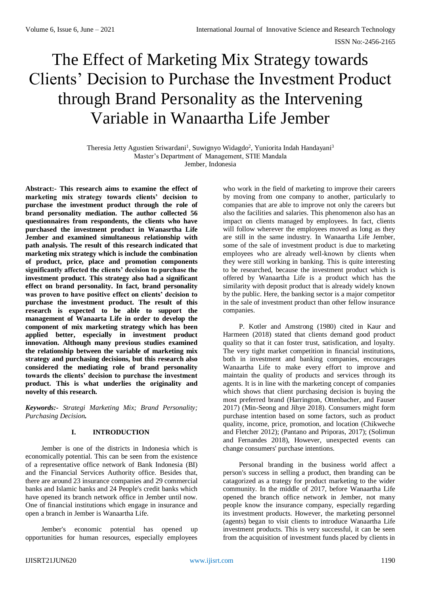# The Effect of Marketing Mix Strategy towards Clients' Decision to Purchase the Investment Product through Brand Personality as the Intervening Variable in Wanaartha Life Jember

Theresia Jetty Agustien Sriwardani<sup>1</sup>, Suwignyo Widagdo<sup>2</sup>, Yuniorita Indah Handayani<sup>3</sup> Master's Department of Management, STIE Mandala Jember, Indonesia

**Abstract:- This research aims to examine the effect of marketing mix strategy towards clients' decision to purchase the investment product through the role of brand personality mediation. The author collected 56 questionnaires from respondents, the clients who have purchased the investment product in Wanasrtha Life Jember and examined simultaneous relationship with path analysis. The result of this research indicated that marketing mix strategy which is include the combination of product, price, place and promotion components significantly affected the clients' decision to purchase the investment product. This strategy also had a significant effect on brand personality. In fact, brand personality was proven to have positive effect on clients' decision to purchase the investment product. The result of this research is expected to be able to support the management of Wanaarta Life in order to develop the component of mix marketing strategy which has been applied better, especially in investment product innovation. Although many previous studies examined the relationship between the variable of marketing mix strategy and purchasing decisions, but this research also considered the mediating role of brand personality towards the clients' decision to purchase the investment product. This is what underlies the originality and novelty of this research.**

*Keywords:- Strategi Marketing Mix; Brand Personality; Purchasing Decision.*

# **I. INTRODUCTION**

Jember is one of the districts in Indonesia which is economically potential. This can be seen from the existence of a representative office network of Bank Indonesia (BI) and the Financial Services Authority office. Besides that, there are around 23 insurance companies and 29 commercial banks and Islamic banks and 24 People's credit banks which have opened its branch network office in Jember until now. One of financial institutions which engage in insurance and open a branch in Jember is Wanaartha Life.

Jember's economic potential has opened up opportunities for human resources, especially employees

who work in the field of marketing to improve their careers by moving from one company to another, particularly to companies that are able to improve not only the careers but also the facilities and salaries. This phenomenon also has an impact on clients managed by employees. In fact, clients will follow wherever the employees moved as long as they are still in the same industry. In Wanaartha Life Jember, some of the sale of investment product is due to marketing employees who are already well-known by clients when they were still working in banking. This is quite interesting to be researched, because the investment product which is offered by Wanaartha Life is a product which has the similarity with deposit product that is already widely known by the public. Here, the banking sector is a major competitor in the sale of investment product than other fellow insurance companies.

P. Kotler and Amstrong (1980) cited in Kaur and Harmeen (2018) stated that clients demand good product quality so that it can foster trust, satisfication, and loyalty. The very tight market competition in financial institutions, both in investment and banking companies, encourages Wanaartha Life to make every effort to improve and maintain the quality of products and services through its agents. It is in line with the marketing concept of companies which shows that client purchasing decision is buying the most preferred brand (Harrington, Ottenbacher, and Fauser 2017) (Min-Seong and Jihye 2018). Consumers might form purchase intention based on some factors, such as product quality, income, price, promotion, and location (Chikweche and Fletcher 2012); (Pantano and Priporas, 2017); (Solimun and Fernandes 2018), However, unexpected events can change consumers' purchase intentions.

Personal branding in the business world affect a person's success in selling a product, then branding can be catagorized as a trategy for product marketing to the wider community. In the middle of 2017, before Wanaartha Life opened the branch office network in Jember, not many people know the insurance company, especially regarding its investment products. However, the marketing personnel (agents) began to visit clients to introduce Wanaartha Life investment products. This is very successful, it can be seen from the acquisition of investment funds placed by clients in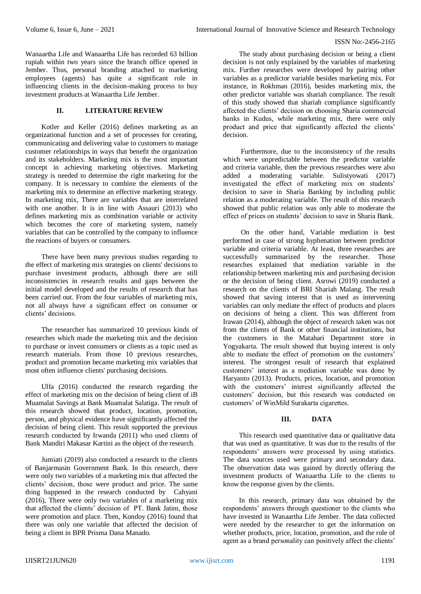#### ISSN No:-2456-2165

Wanaartha Life and Wanaartha Life has recorded 63 billion rupiah within two years since the branch office opened in Jember. Thus, personal branding attached to marketing employees (agents) has quite a significant role in influencing clients in the decision-making process to buy investment products at Wanaartha Life Jember.

## **II. LITERATURE REVIEW**

Kotler and Keller (2016) defines marketing as an organizational function and a set of processes for creating, communicating and delivering value to customers to manage customer relationships in ways that benefit the organization and its stakeholders. Marketing mix is the most important concept in achieving marketing objectives. Marketing strategy is needed to determine the right marketing for the company. It is necessary to combine the elements of the marketing mix to determine an effective marketing strategy. In marketing mix, There are variables that are interrelated with one another. It is in line with Assauri (2013) who defines marketing mix as combination variable or activity which becomes the core of marketing system, namely variables that can be controlled by the company to influence the reactions of buyers or consumers.

There have been many previous studies regarding to the effect of marketing mix strategies on clients' decisions to purchase investment products, although there are still inconsistencies in research results and gaps between the initial model developed and the results of research that has been carried out. From the four variables of marketing mix, not all always have a significant effect on consumer or clients' decisions.

The researcher has summarized 10 previous kinds of researches which made the marketing mix and the decision to purchase or invest consumers or clients as a topic used as research materials. From those 10 previous researches, product and promotion became marketing mix variables that most often influence clients' purchasing decisions.

Ulfa (2016) conducted the research regarding the effect of marketing mix on the decision of being client of iB Muamalat Savings at Bank Muamalat Salatiga. The result of this research showed that product, location, promotion, person, and physical evidence have significantly affected the decision of being client. This result supported the previous research conducted by Irwanda (2011) who used clients of Bank Mandiri Makasar Kartini as the object of the research.

Jumiati (2019) also conducted a research to the clients of Banjarmasin Government Bank. In this research, there were only two variables of a marketing mix that affected the clients' decision, those were product and price. The same thing happened in the research conducted by Cahyani (2016), There were only two variables of a marketing mix that affected the clients' decision of PT. Bank Jatim, those were promotion and place. Then, Kondoy (2016) found that there was only one variable that affected the decision of being a client in BPR Prisma Dana Manado.

The study about purchasing decision or being a client decision is not only explained by the variables of marketing mix. Further researches were developed by pairing other variables as a predictor variable besides marketing mix. For instance, in Rokhman (2016), besides marketing mix, the other predictor variable was shariah compliance. The result of this study showed that shariah compliance significantly affected the clients' decision on choosing Sharia commercial banks in Kudus, while marketing mix, there were only product and price that significantly affected the clients' decision.

Furthermore, due to the inconsistency of the results which were unpredictable between the predictor variable and criteria variable, then the previous researches were also added a moderating variable. Sulistyowati (2017) investigated the effect of marketing mix on students' decision to save in Sharia Banking by including public relation as a moderating variable. The result of this research showed that public relation was only able to moderate the effect of prices on students' decision to save in Sharia Bank.

On the other hand, Variable mediation is best performed in case of strong hyphenation between predictor variable and criteria variable. At least, three researches are successfully summarized by the researcher. Those researches explained that mediation variable in the relationship between marketing mix and purchasing decision or the decision of being client. Asrowi (2019) conducted a research on the clients of BRI Shariah Malang. The result showed that saving interest that is used as intervening variables can only mediate the effect of products and places on decisions of being a client. This was different from Irawan (2014), although the object of research taken was not from the clients of Bank or other financial institutions, but the customers in the Matahari Department store in Yogyakarta. The result showed that buying interest is only able to mediate the effect of promotion on the customers' interest. The strongest result of research that explained customers' interest as a mediation variable was done by Haryanto (2013). Products, prices, location, and promotion with the customers' interest significantly affected the customers' decision, but this research was conducted on customers' of WinMild Surakarta cigarettes.

### **III. DATA**

This research used quantitative data or qualitative data that was used as quantitative. It was due to the results of the respondents' answers were processed by using statistics. The data sources used were primary and secondary data. The observation data was gained by directly offering the investment products of Wanaartha Life to the clients to know the response given by the clients.

In this research, primary data was obtained by the respondents' answers through questioner to the clients who have invested in Wanaartha Life Jember. The data collected were needed by the researcher to get the information on whether products, price, location, promotion, and the role of agent as a brand personality can positively affect the clients'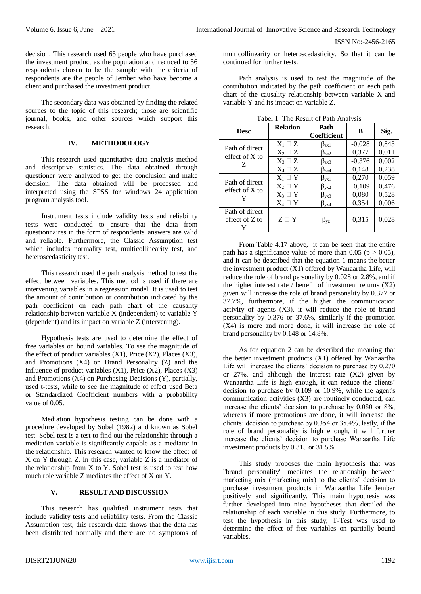decision. This research used 65 people who have purchased the investment product as the population and reduced to 56 respondents chosen to be the sample with the criteria of respondents are the people of Jember who have become a client and purchased the investment product.

The secondary data was obtained by finding the related sources to the topic of this research; those are scientific journal, books, and other sources which support this research.

## **IV. METHODOLOGY**

This research used quantitative data analysis method and descriptive statistics. The data obtained through questioner were analyzed to get the conclusion and make decision. The data obtained will be processed and interpreted using the SPSS for windows 24 application program analysis tool.

Instrument tests include validity tests and reliability tests were conducted to ensure that the data from questionnaires in the form of respondents' answers are valid and reliable. Furthermore, the Classic Assumption test which includes normality test, multicollinearity test, and heteroscedasticity test.

This research used the path analysis method to test the effect between variables. This method is used if there are intervening variables in a regression model. It is used to test the amount of contribution or contribution indicated by the path coefficient on each path chart of the causality relationship between variable X (independent) to variable Y (dependent) and its impact on variable Z (intervening).

Hypothesis tests are used to determine the effect of free variables on bound variables. To see the magnitude of the effect of product variables  $(X1)$ , Price  $(X2)$ , Places  $(X3)$ , and Promotions (X4) on Brand Personality (Z) and the influence of product variables  $(X1)$ , Price  $(X2)$ , Places  $(X3)$ and Promotions (X4) on Purchasing Decisions (Y), partially, used t-tests, while to see the magnitude of effect used Beta or Standardized Coefficient numbers with a probability value of 0.05.

Mediation hypothesis testing can be done with a procedure developed by Sobel (1982) and known as Sobel test. Sobel test is a test to find out the relationship through a mediation variable is significantly capable as a mediator in the relationship. This research wanted to know the effect of X on Y through Z. In this case, variable Z is a mediator of the relationship from X to Y. Sobel test is used to test how much role variable Z mediates the effect of X on Y.

# **V. RESULT AND DISCUSSION**

This research has qualified instrument tests that include validity tests and reliability tests. From the Classic Assumption test, this research data shows that the data has been distributed normally and there are no symptoms of

multicollinearity or heteroscedasticity. So that it can be continued for further tests.

Path analysis is used to test the magnitude of the contribution indicated by the path coefficient on each path chart of the causality relationship between variable X and variable Y and its impact on variable Z.

| <b>Desc</b>                             | <b>Relation</b> | Path<br><b>Coefficient</b>    | B        | Sig.  |
|-----------------------------------------|-----------------|-------------------------------|----------|-------|
| Path of direct<br>effect of $X$ to<br>Z | $X_1 \square Z$ | $\beta_{zx1}$                 | $-0,028$ | 0,843 |
|                                         | $X_2 \square Z$ | $\beta_{zx2}$                 | 0,377    | 0,011 |
|                                         | $X_3 \square Z$ | $\beta_{zx3}$                 | $-0,376$ | 0,002 |
|                                         | $X_4 \square Z$ | $B_{ZX4}$                     | 0,148    | 0,238 |
| Path of direct<br>effect of $X$ to      | $X_1 \square Y$ | $\beta_{vx1}$                 | 0,270    | 0,059 |
|                                         | $X_2 \square Y$ | $\beta_{\text{vx2}}$          | $-0,109$ | 0,476 |
|                                         | $X_3 \square Y$ | $\beta_{\rm{V}X3}$            | 0,080    | 0,528 |
|                                         | $X_4 \square Y$ | $\beta_{\text{V} \text{X} 4}$ | 0,354    | 0,006 |
| Path of direct<br>effect of $Z$ to      | $Z \sqcap Y$    | $\beta_{\rm VZ}$              | 0,315    | 0,028 |

Tabel 1 The Result of Path Analysis

From Table 4.17 above, it can be seen that the entire path has a significance value of more than 0.05 ( $p > 0.05$ ), and it can be described that the equation 1 means the better the investment product (X1) offered by Wanaartha Life, will reduce the role of brand personality by 0.028 or 2.8%, and if the higher interest rate / benefit of investment returns  $(X2)$ given will increase the role of brand personality by 0.377 or 37.7%, furthermore, if the higher the communication activity of agents (X3), it will reduce the role of brand personality by 0.376 or 37.6%, similarly if the promotion (X4) is more and more done, it will increase the role of brand personality by 0.148 or 14.8%.

As for equation 2 can be described the meaning that the better investment products (X1) offered by Wanaartha Life will increase the clients' decision to purchase by 0.270 or  $27\%$ , and although the interest rate  $(X2)$  given by Wanaartha Life is high enough, it can reduce the clients' decision to purchase by 0.109 or 10.9%, while the agent's communication activities (X3) are routinely conducted, can increase the clients' decision to purchase by 0.080 or 8%, whereas if more promotions are done, it will increase the clients' decision to purchase by 0.354 or 35.4%, lastly, if the role of brand personality is high enough, it will further increase the clients' decision to purchase Wanaartha Life investment products by 0.315 or 31.5%.

This study proposes the main hypothesis that was "brand personality" mediates the relationship between marketing mix (marketing mix) to the clients' decision to purchase investment products in Wanaartha Life Jember positively and significantly. This main hypothesis was further developed into nine hypotheses that detailed the relationship of each variable in this study. Furthermore, to test the hypothesis in this study, T-Test was used to determine the effect of free variables on partially bound variables.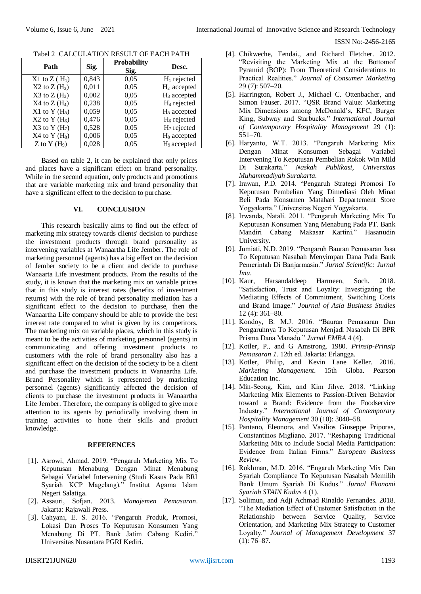ISSN No:-2456-2165

| Path              | Sig.  | <b>Probability</b><br>Sig. | Desc.                   |
|-------------------|-------|----------------------------|-------------------------|
| $X1$ to $Z(H_1)$  | 0,843 | 0,05                       | $H_1$ rejected          |
| $X2$ to $Z(H_2)$  | 0,011 | 0.05                       | $H_2$ accepted          |
| $X3$ to $Z(H_3)$  | 0,002 | 0,05                       | $H_3$ accepted          |
| $X4$ to $Z(H_4)$  | 0,238 | 0,05                       | $H_4$ rejected          |
| $X1$ to $Y(H_5)$  | 0,059 | 0,05                       | H <sub>5</sub> accepted |
| $X2$ to Y $(H_6)$ | 0,476 | 0,05                       | $H_6$ rejected          |
| $X3$ to Y $(H7)$  | 0,528 | 0,05                       | $H7$ rejected           |
| $X4$ to Y $(H_8)$ | 0,006 | 0,05                       | H <sub>8</sub> accepted |
| Z to Y $(H9)$     | 0,028 | 0.05                       | H <sub>9</sub> accepted |

Tabel 2 CALCULATION RESULT OF EACH PATH

Based on table 2, it can be explained that only prices and places have a significant effect on brand personality. While in the second equation, only products and promotions that are variable marketing mix and brand personality that have a significant effect to the decision to purchase.

#### **VI. CONCLUSION**

This research basically aims to find out the effect of marketing mix strategy towards clients' decision to purchase the investment products through brand personality as intervening variables at Wanaartha Life Jember. The role of marketing personnel (agents) has a big effect on the decision of Jember society to be a client and decide to purchase Wanaarta Life investment products. From the results of the study, it is known that the marketing mix on variable prices that in this study is interest rates (benefits of investment returns) with the role of brand personality mediation has a significant effect to the decision to purchase, then the Wanaartha Life company should be able to provide the best interest rate compared to what is given by its competitors. The marketing mix on variable places, which in this study is meant to be the activities of marketing personnel (agents) in communicating and offering investment products to customers with the role of brand personality also has a significant effect on the decision of the society to be a client and purchase the investment products in Wanaartha Life. Brand Personality which is represented by marketing personnel (agents) significantly affected the decision of clients to purchase the investment products in Wanaartha Life Jember. Therefore, the company is obliged to give more attention to its agents by periodically involving them in training activities to hone their skills and product knowledge.

#### **REFERENCES**

- [1]. Asrowi, Ahmad. 2019. "Pengaruh Marketing Mix To Keputusan Menabung Dengan Minat Menabung Sebagai Variabel Intervening (Studi Kasus Pada BRI Syariah KCP Magelang)." Institut Agama Islam Negeri Salatiga.
- [2]. Assauri, Sofjan. 2013. *Manajemen Pemasaran*. Jakarta: Rajawali Press.
- [3]. Cahyani, E. S. 2016. "Pengaruh Produk, Promosi, Lokasi Dan Proses To Keputusan Konsumen Yang Menabung Di PT. Bank Jatim Cabang Kediri." Universitas Nusantara PGRI Kediri.
- [4]. Chikweche, Tendai., and Richard Fletcher. 2012. "Revisiting the Marketing Mix at the Bottomof Pyramid (BOP): From Theoretical Considerations to Practical Realities." *Journal of Consumer Marketing* 29 (7): 507–20.
- [5]. Harrington, Robert J., Michael C. Ottenbacher, and Simon Fauser. 2017. "QSR Brand Value: Marketing Mix Dimensions among McDonald's, KFC, Burger King, Subway and Starbucks." *International Journal of Contemporary Hospitality Management* 29 (1): 551–70.
- [6]. Haryanto, W.T. 2013. "Pengaruh Marketing Mix Dengan Minat Konsumen Sebagai Variabel Intervening To Keputusan Pembelian Rokok Win Mild Di Surakarta." *Naskah Publikasi, Universitas Muhammadiyah Surakarta*.
- [7]. Irawan, P.D. 2014. "Pengaruh Strategi Promosi To Keputusan Pembelian Yang Dimediasi Oleh Minat Beli Pada Konsumen Matahari Departement Store Yogyakarta." Universitas Negeri Yogyakarta.
- [8]. Irwanda, Natali. 2011. "Pengaruh Marketing Mix To Keputusan Konsumen Yang Menabung Pada PT. Bank Mandiri Cabang Makasar Kartini." Hasanudin University.
- [9]. Jumiati, N.D. 2019. "Pengaruh Bauran Pemasaran Jasa To Keputusan Nasabah Menyimpan Dana Pada Bank Pemerintah Di Banjarmasin." *Jurnal Scientific: Jurnal Imu*.
- [10]. Kaur, Harsandaldeep Harmeen, Soch. 2018. "Satisfaction, Trust and Loyalty: Investigating the Mediating Effects of Commitment, Switching Costs and Brand Image." *Journal of Asia Business Studies* 12 (4): 361–80.
- [11]. Kondoy, B. M.J. 2016. "Bauran Pemasaran Dan Pengaruhnya To Keputusan Menjadi Nasabah Di BPR Prisma Dana Manado." *Jurnal EMBA* 4 (4).
- [12]. Kotler, P., and G Amstrong. 1980. *Prinsip-Prinsip Pemasaran 1*. 12th ed. Jakarta: Erlangga.
- [13]. Kotler, Philip, and Kevin Lane Keller. 2016. *Marketing Management*. 15th Globa. Pearson Education Inc.
- [14]. Min-Seong, Kim, and Kim Jihye. 2018. "Linking Marketing Mix Elements to Passion-Driven Behavior toward a Brand: Evidence from the Foodservice Industry." *International Journal of Contemporary Hospitality Management* 30 (10): 3040–58.
- [15]. Pantano, Eleonora, and Vasilios Giuseppe Priporas, Constantinos Migliano. 2017. "Reshaping Traditional Marketing Mix to Include Social Media Participation: Evidence from Italian Firms." *European Business Review*.
- [16]. Rokhman, M.D. 2016. "Engaruh Marketing Mix Dan Syariah Compliance To Keputusan Nasabah Memilih Bank Umum Syariah Di Kudus." *Jurnal Ekonomi Syariah STAIN Kudus* 4 (1).
- [17]. Solimun, and Adji Achmad Rinaldo Fernandes. 2018. "The Mediation Effect of Customer Satisfaction in the Relationship between Service Quality, Service Orientation, and Marketing Mix Strategy to Customer Loyalty." *Journal of Management Development* 37  $(1): 76-87.$